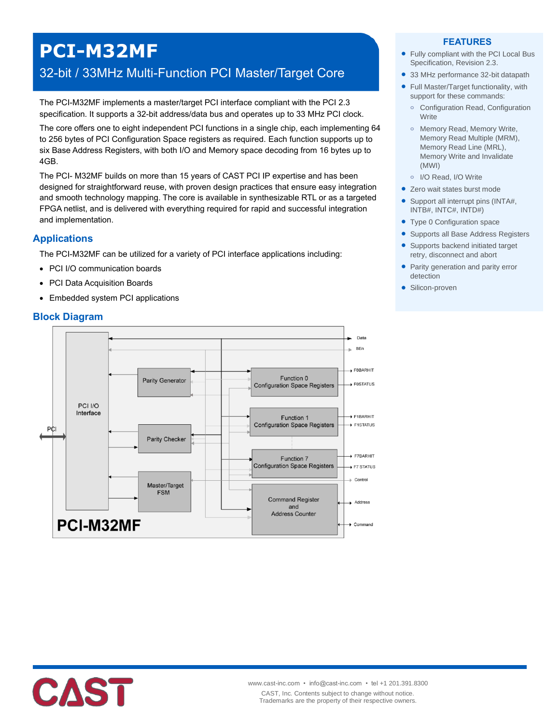# **PCI-M32MF**

# 32-bit / 33MHz Multi-Function PCI Master/Target Core

The PCI-M32MF implements a master/target PCI interface compliant with the PCI 2.3 specification. It supports a 32-bit address/data bus and operates up to 33 MHz PCI clock.

The core offers one to eight independent PCI functions in a single chip, each implementing 64 to 256 bytes of PCI Configuration Space registers as required. Each function supports up to six Base Address Registers, with both I/O and Memory space decoding from 16 bytes up to 4GB.

The PCI- M32MF builds on more than 15 years of CAST PCI IP expertise and has been designed for straightforward reuse, with proven design practices that ensure easy integration and smooth technology mapping. The core is available in synthesizable RTL or as a targeted FPGA netlist, and is delivered with everything required for rapid and successful integration and implementation.

## **Applications**

The PCI-M32MF can be utilized for a variety of PCI interface applications including:

- PCI I/O communication boards
- PCI Data Acquisition Boards
- Embedded system PCI applications

## **Block Diagram**



#### **FEATURES**

- Fully compliant with the PCI Local Bus Specification, Revision 2.3.
- 33 MHz performance 32-bit datapath
- Full Master/Target functionality, with support for these commands:
	- **o** Configuration Read, Configuration **Write**
	- **o** Memory Read, Memory Write, Memory Read Multiple (MRM), Memory Read Line (MRL), Memory Write and Invalidate (MWI)
- **o** I/O Read, I/O Write
- Zero wait states burst mode
- Support all interrupt pins (INTA#, INTB#, INTC#, INTD#)
- Type 0 Configuration space
- **Supports all Base Address Registers**
- Supports backend initiated target retry, disconnect and abort
- Parity generation and parity error detection
- Silicon-proven